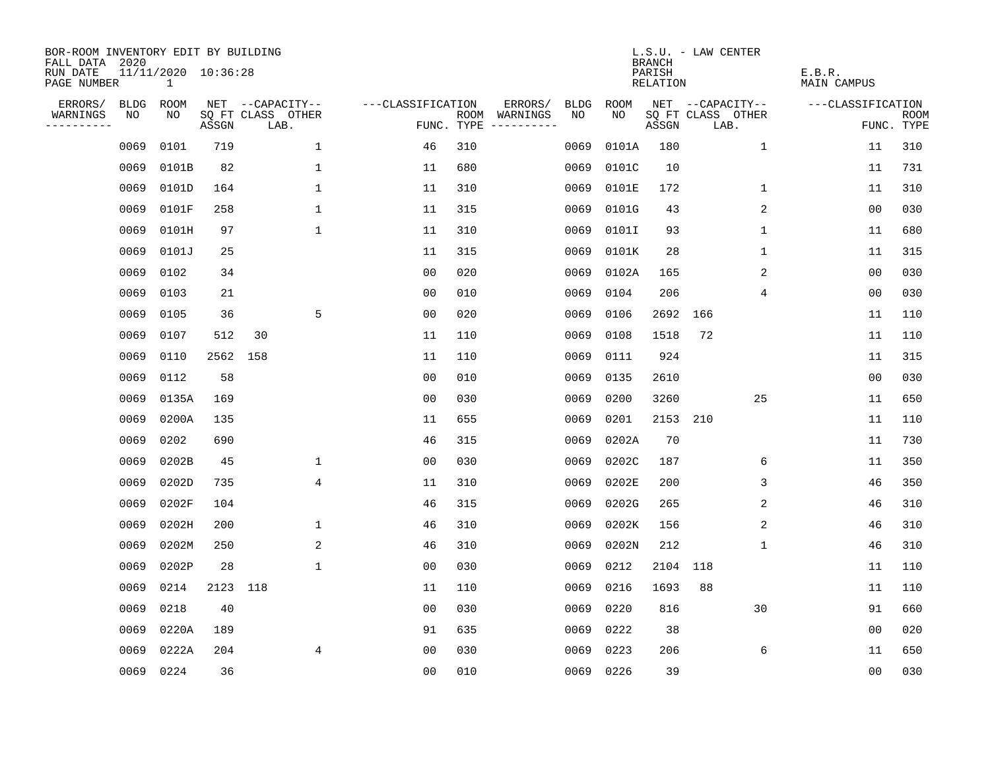| BOR-ROOM INVENTORY EDIT BY BUILDING<br>FALL DATA 2020 |      |                                     |       |                           |                   |                    |                              |             | <b>BRANCH</b>             | L.S.U. - LAW CENTER       |                              |                           |
|-------------------------------------------------------|------|-------------------------------------|-------|---------------------------|-------------------|--------------------|------------------------------|-------------|---------------------------|---------------------------|------------------------------|---------------------------|
| RUN DATE<br>PAGE NUMBER                               |      | 11/11/2020 10:36:28<br>$\mathbf{1}$ |       |                           |                   |                    |                              |             | PARISH<br><b>RELATION</b> |                           | E.B.R.<br><b>MAIN CAMPUS</b> |                           |
| ERRORS/                                               | BLDG | <b>ROOM</b>                         |       | NET --CAPACITY--          | ---CLASSIFICATION |                    | ERRORS/<br><b>BLDG</b>       | <b>ROOM</b> |                           | NET --CAPACITY--          | ---CLASSIFICATION            |                           |
| WARNINGS<br>----------                                | NO   | NO                                  | ASSGN | SQ FT CLASS OTHER<br>LAB. |                   | ROOM<br>FUNC. TYPE | NO<br>WARNINGS<br>---------- | NO          | ASSGN                     | SQ FT CLASS OTHER<br>LAB. |                              | <b>ROOM</b><br>FUNC. TYPE |
|                                                       | 0069 | 0101                                | 719   | 1                         | 46                | 310                | 0069                         | 0101A       | 180                       | $\mathbf 1$               | 11                           | 310                       |
|                                                       | 0069 | 0101B                               | 82    | $\mathbf 1$               | 11                | 680                | 0069                         | 0101C       | 10                        |                           | 11                           | 731                       |
|                                                       | 0069 | 0101D                               | 164   | $\mathbf 1$               | 11                | 310                | 0069                         | 0101E       | 172                       | 1                         | 11                           | 310                       |
|                                                       | 0069 | 0101F                               | 258   | 1                         | 11                | 315                | 0069                         | 0101G       | 43                        | 2                         | 0 <sub>0</sub>               | 030                       |
|                                                       | 0069 | 0101H                               | 97    | $\mathbf{1}$              | 11                | 310                | 0069                         | 0101I       | 93                        | $\mathbf 1$               | 11                           | 680                       |
|                                                       | 0069 | 0101J                               | 25    |                           | 11                | 315                | 0069                         | 0101K       | 28                        | $\mathbf 1$               | 11                           | 315                       |
|                                                       | 0069 | 0102                                | 34    |                           | 0 <sub>0</sub>    | 020                | 0069                         | 0102A       | 165                       | 2                         | 0 <sub>0</sub>               | 030                       |
|                                                       | 0069 | 0103                                | 21    |                           | 0 <sub>0</sub>    | 010                | 0069                         | 0104        | 206                       | 4                         | 0 <sub>0</sub>               | 030                       |
|                                                       | 0069 | 0105                                | 36    | 5                         | 0 <sub>0</sub>    | 020                | 0069                         | 0106        | 2692                      | 166                       | 11                           | 110                       |
|                                                       | 0069 | 0107                                | 512   | 30                        | 11                | 110                | 0069                         | 0108        | 1518                      | 72                        | 11                           | 110                       |
|                                                       | 0069 | 0110                                | 2562  | 158                       | 11                | 110                | 0069                         | 0111        | 924                       |                           | 11                           | 315                       |
|                                                       | 0069 | 0112                                | 58    |                           | 0 <sub>0</sub>    | 010                | 0069                         | 0135        | 2610                      |                           | 0 <sub>0</sub>               | 030                       |
|                                                       | 0069 | 0135A                               | 169   |                           | 0 <sub>0</sub>    | 030                | 0069                         | 0200        | 3260                      | 25                        | 11                           | 650                       |
|                                                       | 0069 | 0200A                               | 135   |                           | 11                | 655                | 0069                         | 0201        | 2153                      | 210                       | 11                           | 110                       |
|                                                       | 0069 | 0202                                | 690   |                           | 46                | 315                | 0069                         | 0202A       | 70                        |                           | 11                           | 730                       |
|                                                       | 0069 | 0202B                               | 45    | 1                         | 0 <sub>0</sub>    | 030                | 0069                         | 0202C       | 187                       | 6                         | 11                           | 350                       |
|                                                       | 0069 | 0202D                               | 735   | 4                         | 11                | 310                | 0069                         | 0202E       | 200                       | 3                         | 46                           | 350                       |
|                                                       | 0069 | 0202F                               | 104   |                           | 46                | 315                | 0069                         | 0202G       | 265                       | 2                         | 46                           | 310                       |
|                                                       | 0069 | 0202H                               | 200   | $\mathbf 1$               | 46                | 310                | 0069                         | 0202K       | 156                       | 2                         | 46                           | 310                       |
|                                                       | 0069 | 0202M                               | 250   | $\overline{2}$            | 46                | 310                | 0069                         | 0202N       | 212                       | $\mathbf{1}$              | 46                           | 310                       |
|                                                       | 0069 | 0202P                               | 28    | 1                         | 0 <sub>0</sub>    | 030                | 0069                         | 0212        | 2104                      | 118                       | 11                           | 110                       |
|                                                       | 0069 | 0214                                | 2123  | 118                       | 11                | 110                | 0069                         | 0216        | 1693                      | 88                        | 11                           | 110                       |
|                                                       | 0069 | 0218                                | 40    |                           | 0 <sub>0</sub>    | 030                | 0069                         | 0220        | 816                       | 30                        | 91                           | 660                       |
|                                                       | 0069 | 0220A                               | 189   |                           | 91                | 635                | 0069                         | 0222        | 38                        |                           | 0 <sub>0</sub>               | 020                       |
|                                                       | 0069 | 0222A                               | 204   | 4                         | 0 <sub>0</sub>    | 030                | 0069                         | 0223        | 206                       | 6                         | 11                           | 650                       |
|                                                       |      | 0069 0224                           | 36    |                           | 0 <sub>0</sub>    | 010                | 0069                         | 0226        | 39                        |                           | 00                           | 030                       |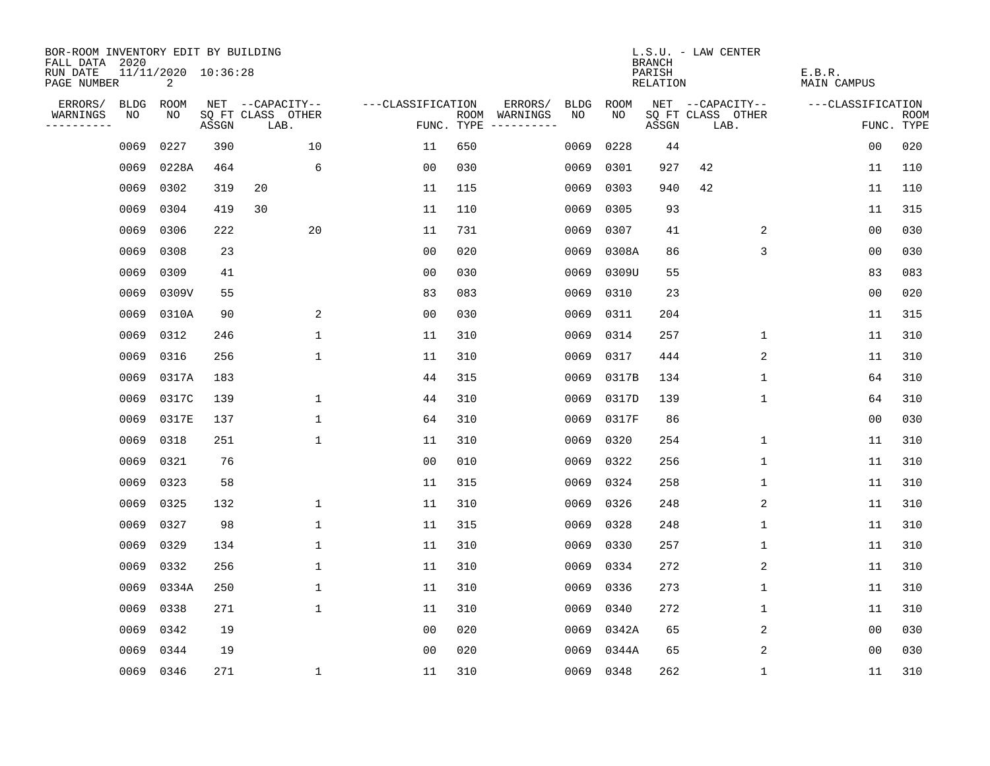| BOR-ROOM INVENTORY EDIT BY BUILDING<br>FALL DATA 2020 |             |                                       |       |                           |                   |                    |                         |             |             | <b>BRANCH</b>             | L.S.U. - LAW CENTER       |                              |                |                           |
|-------------------------------------------------------|-------------|---------------------------------------|-------|---------------------------|-------------------|--------------------|-------------------------|-------------|-------------|---------------------------|---------------------------|------------------------------|----------------|---------------------------|
| RUN DATE<br>PAGE NUMBER                               |             | 11/11/2020 10:36:28<br>$\overline{2}$ |       |                           |                   |                    |                         |             |             | PARISH<br><b>RELATION</b> |                           | E.B.R.<br><b>MAIN CAMPUS</b> |                |                           |
| ERRORS/                                               | <b>BLDG</b> | ROOM                                  |       | NET --CAPACITY--          | ---CLASSIFICATION |                    | ERRORS/                 | <b>BLDG</b> | <b>ROOM</b> |                           | NET --CAPACITY--          | ---CLASSIFICATION            |                |                           |
| WARNINGS<br>----------                                | NO          | NO                                    | ASSGN | SQ FT CLASS OTHER<br>LAB. |                   | ROOM<br>FUNC. TYPE | WARNINGS<br>----------- | NO          | NO          | ASSGN                     | SQ FT CLASS OTHER<br>LAB. |                              |                | <b>ROOM</b><br>FUNC. TYPE |
|                                                       | 0069        | 0227                                  | 390   | 10                        | 11                | 650                |                         | 0069        | 0228        | 44                        |                           |                              | 00             | 020                       |
|                                                       | 0069        | 0228A                                 | 464   | 6                         | 0 <sub>0</sub>    | 030                |                         | 0069        | 0301        | 927                       | 42                        |                              | 11             | 110                       |
|                                                       | 0069        | 0302                                  | 319   | 20                        | 11                | 115                |                         | 0069        | 0303        | 940                       | 42                        |                              | 11             | 110                       |
|                                                       | 0069        | 0304                                  | 419   | 30                        | 11                | 110                |                         | 0069        | 0305        | 93                        |                           |                              | 11             | 315                       |
|                                                       | 0069        | 0306                                  | 222   | 20                        | 11                | 731                |                         | 0069        | 0307        | 41                        | 2                         |                              | 0 <sub>0</sub> | 030                       |
|                                                       | 0069        | 0308                                  | 23    |                           | 0 <sub>0</sub>    | 020                |                         | 0069        | 0308A       | 86                        | 3                         |                              | 00             | 030                       |
|                                                       | 0069        | 0309                                  | 41    |                           | 0 <sub>0</sub>    | 030                |                         | 0069        | 0309U       | 55                        |                           |                              | 83             | 083                       |
|                                                       | 0069        | 0309V                                 | 55    |                           | 83                | 083                |                         | 0069        | 0310        | 23                        |                           |                              | 0 <sub>0</sub> | 020                       |
|                                                       | 0069        | 0310A                                 | 90    | 2                         | 0 <sub>0</sub>    | 030                |                         | 0069        | 0311        | 204                       |                           |                              | 11             | 315                       |
|                                                       | 0069        | 0312                                  | 246   | $\mathbf{1}$              | 11                | 310                |                         | 0069        | 0314        | 257                       | $\mathbf 1$               |                              | 11             | 310                       |
|                                                       | 0069        | 0316                                  | 256   | $\mathbf{1}$              | 11                | 310                |                         | 0069        | 0317        | 444                       | 2                         |                              | 11             | 310                       |
|                                                       | 0069        | 0317A                                 | 183   |                           | 44                | 315                |                         | 0069        | 0317B       | 134                       | $\mathbf 1$               |                              | 64             | 310                       |
|                                                       | 0069        | 0317C                                 | 139   | 1                         | 44                | 310                |                         | 0069        | 0317D       | 139                       | $\mathbf 1$               |                              | 64             | 310                       |
|                                                       | 0069        | 0317E                                 | 137   | 1                         | 64                | 310                |                         | 0069        | 0317F       | 86                        |                           |                              | 0 <sub>0</sub> | 030                       |
|                                                       | 0069        | 0318                                  | 251   | 1                         | 11                | 310                |                         | 0069        | 0320        | 254                       | 1                         |                              | 11             | 310                       |
|                                                       | 0069        | 0321                                  | 76    |                           | 0 <sub>0</sub>    | 010                |                         | 0069        | 0322        | 256                       | 1                         |                              | 11             | 310                       |
|                                                       | 0069        | 0323                                  | 58    |                           | 11                | 315                |                         | 0069        | 0324        | 258                       | 1                         |                              | 11             | 310                       |
|                                                       | 0069        | 0325                                  | 132   | 1                         | 11                | 310                |                         | 0069        | 0326        | 248                       | 2                         |                              | 11             | 310                       |
|                                                       | 0069        | 0327                                  | 98    | $\mathbf{1}$              | 11                | 315                |                         | 0069        | 0328        | 248                       | 1                         |                              | 11             | 310                       |
|                                                       | 0069        | 0329                                  | 134   | 1                         | 11                | 310                |                         | 0069        | 0330        | 257                       | 1                         |                              | 11             | 310                       |
|                                                       | 0069        | 0332                                  | 256   | 1                         | 11                | 310                |                         | 0069        | 0334        | 272                       | 2                         |                              | 11             | 310                       |
|                                                       | 0069        | 0334A                                 | 250   | $\mathbf 1$               | 11                | 310                |                         | 0069        | 0336        | 273                       | $\mathbf 1$               |                              | 11             | 310                       |
|                                                       | 0069        | 0338                                  | 271   | $\mathbf 1$               | 11                | 310                |                         | 0069        | 0340        | 272                       | 1                         |                              | 11             | 310                       |
|                                                       | 0069        | 0342                                  | 19    |                           | 0 <sub>0</sub>    | 020                |                         | 0069        | 0342A       | 65                        | 2                         |                              | 0 <sub>0</sub> | 030                       |
|                                                       | 0069        | 0344                                  | 19    |                           | 0 <sub>0</sub>    | 020                |                         | 0069        | 0344A       | 65                        | 2                         |                              | 0 <sub>0</sub> | 030                       |
|                                                       | 0069 0346   |                                       | 271   | 1                         | 11                | 310                |                         |             | 0069 0348   | 262                       | 1                         |                              | 11             | 310                       |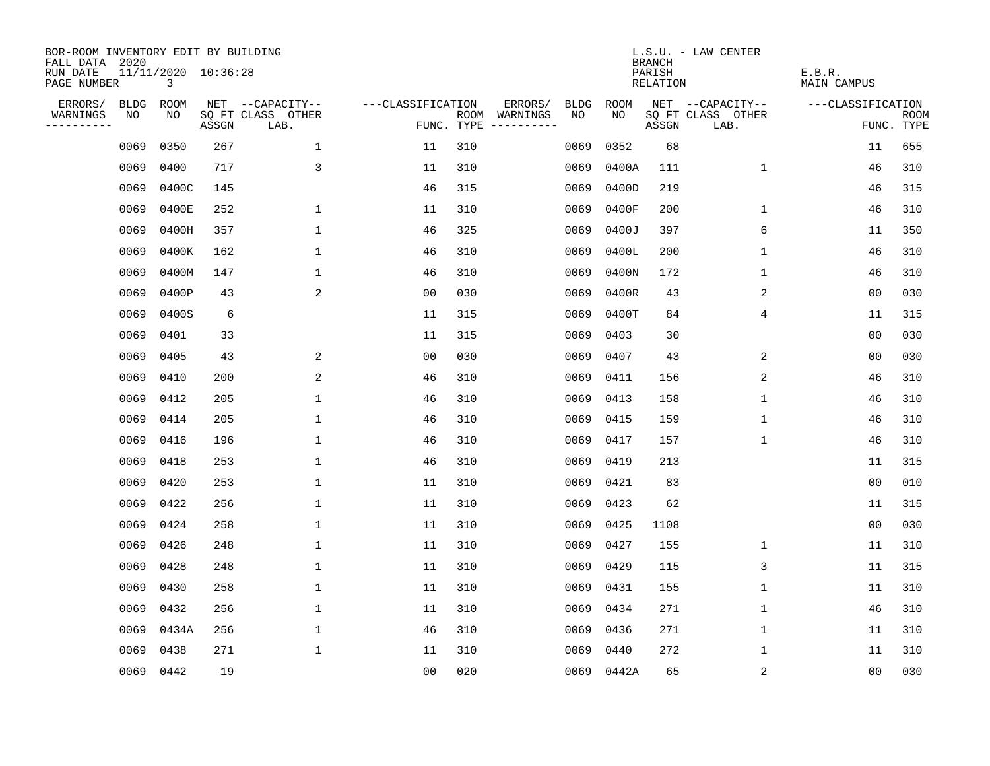| BOR-ROOM INVENTORY EDIT BY BUILDING<br>FALL DATA 2020 |             |                          |       |                           |                   |                    |                         |             |            | <b>BRANCH</b>             | L.S.U. - LAW CENTER       |                              |                           |
|-------------------------------------------------------|-------------|--------------------------|-------|---------------------------|-------------------|--------------------|-------------------------|-------------|------------|---------------------------|---------------------------|------------------------------|---------------------------|
| RUN DATE<br>PAGE NUMBER                               |             | 11/11/2020 10:36:28<br>3 |       |                           |                   |                    |                         |             |            | PARISH<br><b>RELATION</b> |                           | E.B.R.<br><b>MAIN CAMPUS</b> |                           |
| ERRORS/                                               | <b>BLDG</b> | ROOM                     |       | NET --CAPACITY--          | ---CLASSIFICATION |                    | ERRORS/                 | <b>BLDG</b> | ROOM       |                           | NET --CAPACITY--          | ---CLASSIFICATION            |                           |
| WARNINGS<br>----------                                | NO          | NO                       | ASSGN | SQ FT CLASS OTHER<br>LAB. |                   | ROOM<br>FUNC. TYPE | WARNINGS<br>----------- | NO          | NO         | ASSGN                     | SQ FT CLASS OTHER<br>LAB. |                              | <b>ROOM</b><br>FUNC. TYPE |
|                                                       | 0069        | 0350                     | 267   | $\mathbf{1}$              | 11                | 310                |                         | 0069        | 0352       | 68                        |                           | 11                           | 655                       |
|                                                       | 0069        | 0400                     | 717   | $\mathsf{3}$              | 11                | 310                |                         | 0069        | 0400A      | 111                       | 1                         | 46                           | 310                       |
|                                                       | 0069        | 0400C                    | 145   |                           | 46                | 315                |                         | 0069        | 0400D      | 219                       |                           | 46                           | 315                       |
|                                                       | 0069        | 0400E                    | 252   | 1                         | 11                | 310                |                         | 0069        | 0400F      | 200                       | $\mathbf 1$               | 46                           | 310                       |
|                                                       | 0069        | 0400H                    | 357   | $\mathbf 1$               | 46                | 325                |                         | 0069        | 0400J      | 397                       | 6                         | 11                           | 350                       |
|                                                       | 0069        | 0400K                    | 162   | $\mathbf 1$               | 46                | 310                |                         | 0069        | 0400L      | 200                       | 1                         | 46                           | 310                       |
|                                                       | 0069        | 0400M                    | 147   | $\mathbf{1}$              | 46                | 310                |                         | 0069        | 0400N      | 172                       | $\mathbf{1}$              | 46                           | 310                       |
|                                                       | 0069        | 0400P                    | 43    | 2                         | 0 <sub>0</sub>    | 030                |                         | 0069        | 0400R      | 43                        | 2                         | 0 <sub>0</sub>               | 030                       |
|                                                       | 0069        | 0400S                    | 6     |                           | 11                | 315                |                         | 0069        | 0400T      | 84                        | 4                         | 11                           | 315                       |
|                                                       | 0069        | 0401                     | 33    |                           | 11                | 315                |                         | 0069        | 0403       | 30                        |                           | 0 <sub>0</sub>               | 030                       |
|                                                       | 0069        | 0405                     | 43    | 2                         | 0 <sub>0</sub>    | 030                |                         | 0069        | 0407       | 43                        | 2                         | 0 <sub>0</sub>               | 030                       |
|                                                       | 0069        | 0410                     | 200   | 2                         | 46                | 310                |                         | 0069        | 0411       | 156                       | 2                         | 46                           | 310                       |
|                                                       | 0069        | 0412                     | 205   | $\mathbf 1$               | 46                | 310                |                         | 0069        | 0413       | 158                       | $\mathbf 1$               | 46                           | 310                       |
|                                                       | 0069        | 0414                     | 205   | 1                         | 46                | 310                |                         | 0069        | 0415       | 159                       | 1                         | 46                           | 310                       |
|                                                       | 0069        | 0416                     | 196   | 1                         | 46                | 310                |                         | 0069        | 0417       | 157                       | 1                         | 46                           | 310                       |
|                                                       | 0069        | 0418                     | 253   | 1                         | 46                | 310                |                         | 0069        | 0419       | 213                       |                           | 11                           | 315                       |
|                                                       | 0069        | 0420                     | 253   | 1                         | 11                | 310                |                         | 0069        | 0421       | 83                        |                           | 0 <sub>0</sub>               | 010                       |
|                                                       | 0069        | 0422                     | 256   | 1                         | 11                | 310                |                         | 0069        | 0423       | 62                        |                           | 11                           | 315                       |
|                                                       | 0069        | 0424                     | 258   | 1                         | 11                | 310                |                         | 0069        | 0425       | 1108                      |                           | 0 <sub>0</sub>               | 030                       |
|                                                       | 0069        | 0426                     | 248   | 1                         | 11                | 310                |                         | 0069        | 0427       | 155                       | 1                         | 11                           | 310                       |
|                                                       | 0069        | 0428                     | 248   | 1                         | 11                | 310                |                         | 0069        | 0429       | 115                       | 3                         | 11                           | 315                       |
|                                                       | 0069        | 0430                     | 258   | $\mathbf 1$               | 11                | 310                |                         | 0069        | 0431       | 155                       | $\mathbf 1$               | 11                           | 310                       |
|                                                       | 0069        | 0432                     | 256   | 1                         | 11                | 310                |                         | 0069        | 0434       | 271                       | 1                         | 46                           | 310                       |
|                                                       | 0069        | 0434A                    | 256   | $\mathbf 1$               | 46                | 310                |                         | 0069        | 0436       | 271                       | $\mathbf 1$               | 11                           | 310                       |
|                                                       | 0069        | 0438                     | 271   | $\mathbf{1}$              | 11                | 310                |                         | 0069        | 0440       | 272                       | 1                         | 11                           | 310                       |
|                                                       | 0069        | 0442                     | 19    |                           | 0 <sub>0</sub>    | 020                |                         |             | 0069 0442A | 65                        | $\sqrt{2}$                | 00                           | 030                       |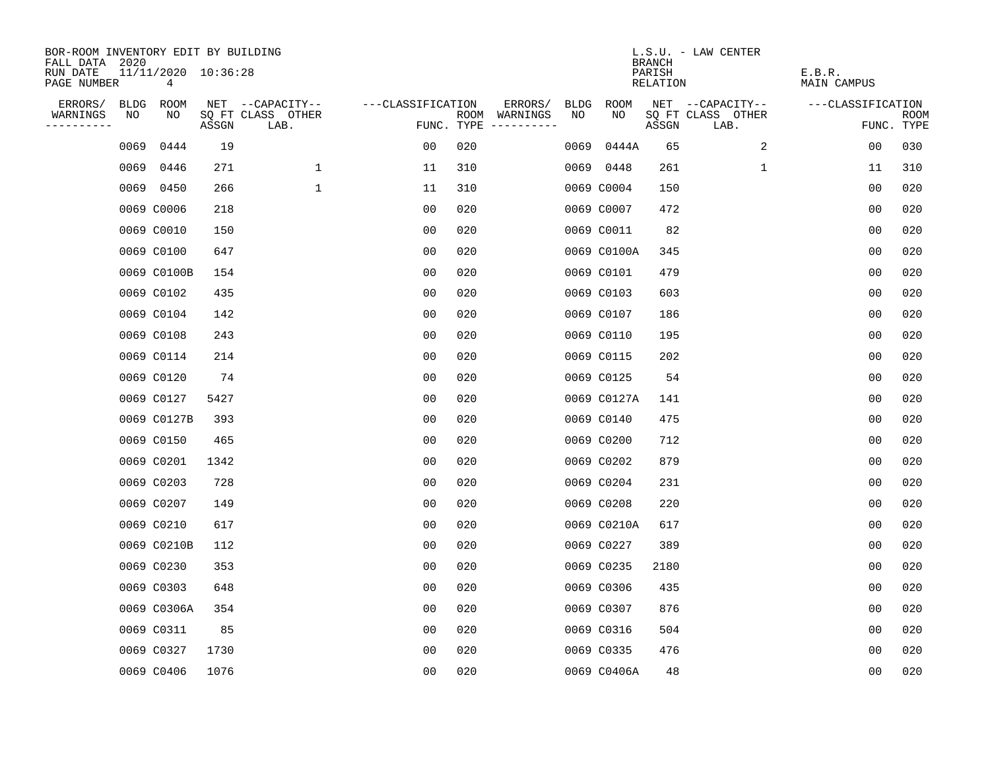| BOR-ROOM INVENTORY EDIT BY BUILDING<br>FALL DATA 2020 |             |                                       |       |                           |                   |     |                                      |             |             | <b>BRANCH</b>             | L.S.U. - LAW CENTER       |                              |                           |
|-------------------------------------------------------|-------------|---------------------------------------|-------|---------------------------|-------------------|-----|--------------------------------------|-------------|-------------|---------------------------|---------------------------|------------------------------|---------------------------|
| RUN DATE<br>PAGE NUMBER                               |             | 11/11/2020 10:36:28<br>$\overline{4}$ |       |                           |                   |     |                                      |             |             | PARISH<br><b>RELATION</b> |                           | E.B.R.<br><b>MAIN CAMPUS</b> |                           |
| ERRORS/                                               | <b>BLDG</b> | ROOM                                  |       | NET --CAPACITY--          | ---CLASSIFICATION |     | ERRORS/                              | <b>BLDG</b> | ROOM        |                           | NET --CAPACITY--          | ---CLASSIFICATION            |                           |
| WARNINGS<br>----------                                | NO          | NO                                    | ASSGN | SQ FT CLASS OTHER<br>LAB. |                   |     | ROOM WARNINGS<br>FUNC. TYPE $------$ | NO          | NO          | ASSGN                     | SQ FT CLASS OTHER<br>LAB. |                              | <b>ROOM</b><br>FUNC. TYPE |
|                                                       | 0069        | 0444                                  | 19    |                           | 00                | 020 |                                      | 0069        | 0444A       | 65                        | 2                         | 0 <sub>0</sub>               | 030                       |
|                                                       |             | 0069 0446                             | 271   | $\mathbf 1$               | 11                | 310 |                                      |             | 0069 0448   | 261                       | 1                         | 11                           | 310                       |
|                                                       |             | 0069 0450                             | 266   | $\mathbf 1$               | 11                | 310 |                                      |             | 0069 C0004  | 150                       |                           | 0 <sub>0</sub>               | 020                       |
|                                                       |             | 0069 C0006                            | 218   |                           | 0 <sub>0</sub>    | 020 |                                      |             | 0069 C0007  | 472                       |                           | 00                           | 020                       |
|                                                       |             | 0069 C0010                            | 150   |                           | 0 <sub>0</sub>    | 020 |                                      |             | 0069 C0011  | 82                        |                           | 00                           | 020                       |
|                                                       |             | 0069 C0100                            | 647   |                           | 0 <sub>0</sub>    | 020 |                                      |             | 0069 C0100A | 345                       |                           | 0 <sub>0</sub>               | 020                       |
|                                                       |             | 0069 C0100B                           | 154   |                           | 0 <sub>0</sub>    | 020 |                                      |             | 0069 C0101  | 479                       |                           | 0 <sub>0</sub>               | 020                       |
|                                                       |             | 0069 C0102                            | 435   |                           | 0 <sub>0</sub>    | 020 |                                      |             | 0069 C0103  | 603                       |                           | 0 <sub>0</sub>               | 020                       |
|                                                       |             | 0069 C0104                            | 142   |                           | 0 <sub>0</sub>    | 020 |                                      |             | 0069 C0107  | 186                       |                           | 0 <sub>0</sub>               | 020                       |
|                                                       |             | 0069 C0108                            | 243   |                           | 00                | 020 |                                      |             | 0069 C0110  | 195                       |                           | 00                           | 020                       |
|                                                       |             | 0069 C0114                            | 214   |                           | 0 <sub>0</sub>    | 020 |                                      |             | 0069 C0115  | 202                       |                           | 0 <sub>0</sub>               | 020                       |
|                                                       |             | 0069 C0120                            | 74    |                           | 0 <sub>0</sub>    | 020 |                                      |             | 0069 C0125  | 54                        |                           | 0 <sub>0</sub>               | 020                       |
|                                                       |             | 0069 C0127                            | 5427  |                           | 0 <sub>0</sub>    | 020 |                                      |             | 0069 C0127A | 141                       |                           | 0 <sub>0</sub>               | 020                       |
|                                                       |             | 0069 C0127B                           | 393   |                           | 0 <sub>0</sub>    | 020 |                                      |             | 0069 C0140  | 475                       |                           | 0 <sub>0</sub>               | 020                       |
|                                                       |             | 0069 C0150                            | 465   |                           | 0 <sub>0</sub>    | 020 |                                      |             | 0069 C0200  | 712                       |                           | 0 <sub>0</sub>               | 020                       |
|                                                       |             | 0069 C0201                            | 1342  |                           | 0 <sub>0</sub>    | 020 |                                      |             | 0069 C0202  | 879                       |                           | 0 <sub>0</sub>               | 020                       |
|                                                       |             | 0069 C0203                            | 728   |                           | 0 <sub>0</sub>    | 020 |                                      |             | 0069 C0204  | 231                       |                           | 0 <sub>0</sub>               | 020                       |
|                                                       |             | 0069 C0207                            | 149   |                           | 0 <sub>0</sub>    | 020 |                                      |             | 0069 C0208  | 220                       |                           | 0 <sub>0</sub>               | 020                       |
|                                                       |             | 0069 C0210                            | 617   |                           | 0 <sub>0</sub>    | 020 |                                      |             | 0069 C0210A | 617                       |                           | 0 <sub>0</sub>               | 020                       |
|                                                       |             | 0069 C0210B                           | 112   |                           | 0 <sub>0</sub>    | 020 |                                      |             | 0069 C0227  | 389                       |                           | 0 <sub>0</sub>               | 020                       |
|                                                       |             | 0069 C0230                            | 353   |                           | 0 <sub>0</sub>    | 020 |                                      |             | 0069 C0235  | 2180                      |                           | 00                           | 020                       |
|                                                       |             | 0069 C0303                            | 648   |                           | 0 <sub>0</sub>    | 020 |                                      |             | 0069 C0306  | 435                       |                           | 0 <sub>0</sub>               | 020                       |
|                                                       |             | 0069 C0306A                           | 354   |                           | 0 <sub>0</sub>    | 020 |                                      |             | 0069 C0307  | 876                       |                           | 0 <sub>0</sub>               | 020                       |
|                                                       |             | 0069 C0311                            | 85    |                           | 0 <sub>0</sub>    | 020 |                                      |             | 0069 C0316  | 504                       |                           | 0 <sub>0</sub>               | 020                       |
|                                                       |             | 0069 C0327                            | 1730  |                           | 0 <sub>0</sub>    | 020 |                                      |             | 0069 C0335  | 476                       |                           | 0 <sub>0</sub>               | 020                       |
|                                                       |             | 0069 C0406                            | 1076  |                           | 0 <sub>0</sub>    | 020 |                                      |             | 0069 C0406A | 48                        |                           | 0 <sub>0</sub>               | 020                       |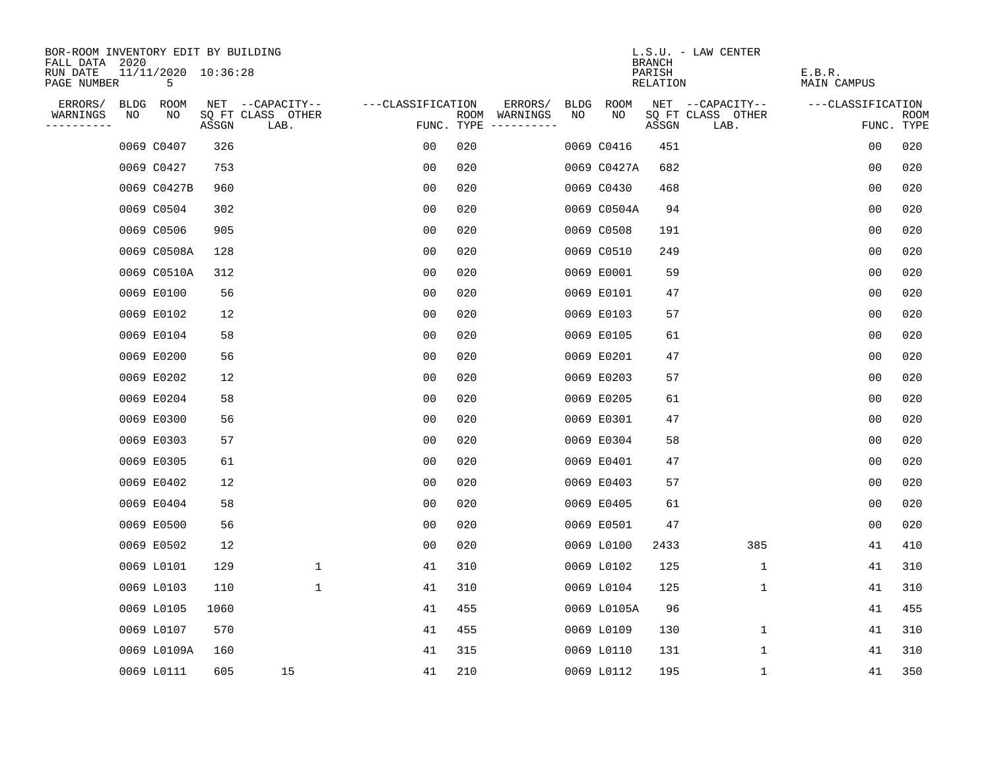| BOR-ROOM INVENTORY EDIT BY BUILDING<br>FALL DATA 2020 |    |                          |       |                           |                   |     |                                      |      |             | <b>BRANCH</b>      | L.S.U. - LAW CENTER       |                       |                           |
|-------------------------------------------------------|----|--------------------------|-------|---------------------------|-------------------|-----|--------------------------------------|------|-------------|--------------------|---------------------------|-----------------------|---------------------------|
| RUN DATE<br>PAGE NUMBER                               |    | 11/11/2020 10:36:28<br>5 |       |                           |                   |     |                                      |      |             | PARISH<br>RELATION |                           | E.B.R.<br>MAIN CAMPUS |                           |
| ERRORS/                                               |    | BLDG ROOM                |       | NET --CAPACITY--          | ---CLASSIFICATION |     | ERRORS/                              | BLDG | ROOM        |                    | NET --CAPACITY--          | ---CLASSIFICATION     |                           |
| WARNINGS<br>----------                                | NO | NO                       | ASSGN | SQ FT CLASS OTHER<br>LAB. |                   |     | ROOM WARNINGS<br>FUNC. TYPE $------$ | NO   | NO          | ASSGN              | SQ FT CLASS OTHER<br>LAB. |                       | <b>ROOM</b><br>FUNC. TYPE |
|                                                       |    | 0069 C0407               | 326   |                           | 0 <sub>0</sub>    | 020 |                                      |      | 0069 C0416  | 451                |                           | 0 <sub>0</sub>        | 020                       |
|                                                       |    | 0069 C0427               | 753   |                           | 0 <sub>0</sub>    | 020 |                                      |      | 0069 C0427A | 682                |                           | 0 <sub>0</sub>        | 020                       |
|                                                       |    | 0069 C0427B              | 960   |                           | 0 <sub>0</sub>    | 020 |                                      |      | 0069 C0430  | 468                |                           | 0 <sub>0</sub>        | 020                       |
|                                                       |    | 0069 C0504               | 302   |                           | 00                | 020 |                                      |      | 0069 C0504A | 94                 |                           | 00                    | 020                       |
|                                                       |    | 0069 C0506               | 905   |                           | 00                | 020 |                                      |      | 0069 C0508  | 191                |                           | 00                    | 020                       |
|                                                       |    | 0069 C0508A              | 128   |                           | 0 <sub>0</sub>    | 020 |                                      |      | 0069 C0510  | 249                |                           | 0 <sub>0</sub>        | 020                       |
|                                                       |    | 0069 C0510A              | 312   |                           | 0 <sub>0</sub>    | 020 |                                      |      | 0069 E0001  | 59                 |                           | 0 <sub>0</sub>        | 020                       |
|                                                       |    | 0069 E0100               | 56    |                           | 0 <sub>0</sub>    | 020 |                                      |      | 0069 E0101  | 47                 |                           | 00                    | 020                       |
|                                                       |    | 0069 E0102               | 12    |                           | 0 <sub>0</sub>    | 020 |                                      |      | 0069 E0103  | 57                 |                           | 0 <sub>0</sub>        | 020                       |
|                                                       |    | 0069 E0104               | 58    |                           | 0 <sub>0</sub>    | 020 |                                      |      | 0069 E0105  | 61                 |                           | 0 <sub>0</sub>        | 020                       |
|                                                       |    | 0069 E0200               | 56    |                           | 00                | 020 |                                      |      | 0069 E0201  | 47                 |                           | 0 <sub>0</sub>        | 020                       |
|                                                       |    | 0069 E0202               | 12    |                           | 0 <sub>0</sub>    | 020 |                                      |      | 0069 E0203  | 57                 |                           | 0 <sub>0</sub>        | 020                       |
|                                                       |    | 0069 E0204               | 58    |                           | 0 <sub>0</sub>    | 020 |                                      |      | 0069 E0205  | 61                 |                           | 0 <sub>0</sub>        | 020                       |
|                                                       |    | 0069 E0300               | 56    |                           | 0 <sub>0</sub>    | 020 |                                      |      | 0069 E0301  | 47                 |                           | 0 <sub>0</sub>        | 020                       |
|                                                       |    | 0069 E0303               | 57    |                           | 00                | 020 |                                      |      | 0069 E0304  | 58                 |                           | 00                    | 020                       |
|                                                       |    | 0069 E0305               | 61    |                           | 00                | 020 |                                      |      | 0069 E0401  | 47                 |                           | 0 <sub>0</sub>        | 020                       |
|                                                       |    | 0069 E0402               | 12    |                           | 0 <sub>0</sub>    | 020 |                                      |      | 0069 E0403  | 57                 |                           | 0 <sub>0</sub>        | 020                       |
|                                                       |    | 0069 E0404               | 58    |                           | 0 <sub>0</sub>    | 020 |                                      |      | 0069 E0405  | 61                 |                           | 0 <sub>0</sub>        | 020                       |
|                                                       |    | 0069 E0500               | 56    |                           | 0 <sub>0</sub>    | 020 |                                      |      | 0069 E0501  | 47                 |                           | 0 <sub>0</sub>        | 020                       |
|                                                       |    | 0069 E0502               | 12    |                           | 0 <sub>0</sub>    | 020 |                                      |      | 0069 L0100  | 2433               | 385                       | 41                    | 410                       |
|                                                       |    | 0069 L0101               | 129   | $\mathbf 1$               | 41                | 310 |                                      |      | 0069 L0102  | 125                | 1                         | 41                    | 310                       |
|                                                       |    | 0069 L0103               | 110   | $\mathbf 1$               | 41                | 310 |                                      |      | 0069 L0104  | 125                | 1                         | 41                    | 310                       |
|                                                       |    | 0069 L0105               | 1060  |                           | 41                | 455 |                                      |      | 0069 L0105A | 96                 |                           | 41                    | 455                       |
|                                                       |    | 0069 L0107               | 570   |                           | 41                | 455 |                                      |      | 0069 L0109  | 130                | 1                         | 41                    | 310                       |
|                                                       |    | 0069 L0109A              | 160   |                           | 41                | 315 |                                      |      | 0069 L0110  | 131                | 1                         | 41                    | 310                       |
|                                                       |    | 0069 L0111               | 605   | 15                        | 41                | 210 |                                      |      | 0069 L0112  | 195                | 1                         | 41                    | 350                       |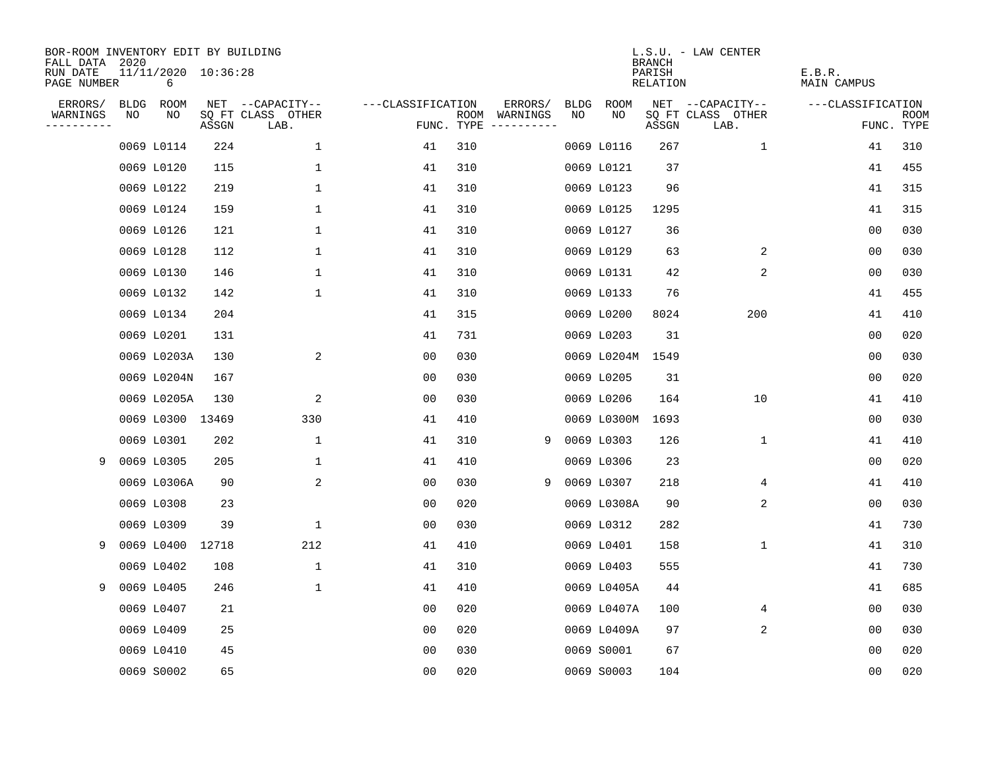| BOR-ROOM INVENTORY EDIT BY BUILDING<br>FALL DATA 2020 |    |                          |       |                           |                   |     |                                      |      |             | <b>BRANCH</b>      | L.S.U. - LAW CENTER       |                       |                           |
|-------------------------------------------------------|----|--------------------------|-------|---------------------------|-------------------|-----|--------------------------------------|------|-------------|--------------------|---------------------------|-----------------------|---------------------------|
| RUN DATE<br>PAGE NUMBER                               |    | 11/11/2020 10:36:28<br>6 |       |                           |                   |     |                                      |      |             | PARISH<br>RELATION |                           | E.B.R.<br>MAIN CAMPUS |                           |
| ERRORS/                                               |    | BLDG ROOM                |       | NET --CAPACITY--          | ---CLASSIFICATION |     | ERRORS/                              | BLDG | ROOM        |                    | NET --CAPACITY--          | ---CLASSIFICATION     |                           |
| WARNINGS<br>- - - - - - - - - -                       | NO | NO                       | ASSGN | SQ FT CLASS OTHER<br>LAB. |                   |     | ROOM WARNINGS<br>FUNC. TYPE $------$ | NO.  | NO.         | ASSGN              | SQ FT CLASS OTHER<br>LAB. |                       | <b>ROOM</b><br>FUNC. TYPE |
|                                                       |    | 0069 L0114               | 224   | $\mathbf 1$               | 41                | 310 |                                      |      | 0069 L0116  | 267                | $\mathbf{1}$              | 41                    | 310                       |
|                                                       |    | 0069 L0120               | 115   | $\mathbf 1$               | 41                | 310 |                                      |      | 0069 L0121  | 37                 |                           | 41                    | 455                       |
|                                                       |    | 0069 L0122               | 219   | $\mathbf{1}$              | 41                | 310 |                                      |      | 0069 L0123  | 96                 |                           | 41                    | 315                       |
|                                                       |    | 0069 L0124               | 159   | 1                         | 41                | 310 |                                      |      | 0069 L0125  | 1295               |                           | 41                    | 315                       |
|                                                       |    | 0069 L0126               | 121   | $\mathbf 1$               | 41                | 310 |                                      |      | 0069 L0127  | 36                 |                           | 0 <sub>0</sub>        | 030                       |
|                                                       |    | 0069 L0128               | 112   | $\mathbf 1$               | 41                | 310 |                                      |      | 0069 L0129  | 63                 | 2                         | 0 <sub>0</sub>        | 030                       |
|                                                       |    | 0069 L0130               | 146   | $\mathbf 1$               | 41                | 310 |                                      |      | 0069 L0131  | 42                 | 2                         | 0 <sub>0</sub>        | 030                       |
|                                                       |    | 0069 L0132               | 142   | $\mathbf{1}$              | 41                | 310 |                                      |      | 0069 L0133  | 76                 |                           | 41                    | 455                       |
|                                                       |    | 0069 L0134               | 204   |                           | 41                | 315 |                                      |      | 0069 L0200  | 8024               | 200                       | 41                    | 410                       |
|                                                       |    | 0069 L0201               | 131   |                           | 41                | 731 |                                      |      | 0069 L0203  | 31                 |                           | 0 <sub>0</sub>        | 020                       |
|                                                       |    | 0069 L0203A              | 130   | 2                         | 0 <sub>0</sub>    | 030 |                                      |      | 0069 L0204M | 1549               |                           | 0 <sub>0</sub>        | 030                       |
|                                                       |    | 0069 L0204N              | 167   |                           | 0 <sub>0</sub>    | 030 |                                      |      | 0069 L0205  | 31                 |                           | 0 <sub>0</sub>        | 020                       |
|                                                       |    | 0069 L0205A              | 130   | 2                         | 0 <sub>0</sub>    | 030 |                                      |      | 0069 L0206  | 164                | 10                        | 41                    | 410                       |
|                                                       |    | 0069 L0300 13469         |       | 330                       | 41                | 410 |                                      |      | 0069 L0300M | 1693               |                           | 0 <sub>0</sub>        | 030                       |
|                                                       |    | 0069 L0301               | 202   | $\mathbf{1}$              | 41                | 310 | 9                                    |      | 0069 L0303  | 126                | $\mathbf{1}$              | 41                    | 410                       |
| 9                                                     |    | 0069 L0305               | 205   | 1                         | 41                | 410 |                                      |      | 0069 L0306  | 23                 |                           | 00                    | 020                       |
|                                                       |    | 0069 L0306A              | 90    | 2                         | 0 <sub>0</sub>    | 030 | 9                                    |      | 0069 L0307  | 218                | 4                         | 41                    | 410                       |
|                                                       |    | 0069 L0308               | 23    |                           | 0 <sub>0</sub>    | 020 |                                      |      | 0069 L0308A | 90                 | 2                         | 0 <sub>0</sub>        | 030                       |
|                                                       |    | 0069 L0309               | 39    | $\mathbf 1$               | 0 <sub>0</sub>    | 030 |                                      |      | 0069 L0312  | 282                |                           | 41                    | 730                       |
| 9                                                     |    | 0069 L0400               | 12718 | 212                       | 41                | 410 |                                      |      | 0069 L0401  | 158                | $\mathbf 1$               | 41                    | 310                       |
|                                                       |    | 0069 L0402               | 108   | 1                         | 41                | 310 |                                      |      | 0069 L0403  | 555                |                           | 41                    | 730                       |
| 9                                                     |    | 0069 L0405               | 246   | $\mathbf{1}$              | 41                | 410 |                                      |      | 0069 L0405A | 44                 |                           | 41                    | 685                       |
|                                                       |    | 0069 L0407               | 21    |                           | 0 <sub>0</sub>    | 020 |                                      |      | 0069 L0407A | 100                | 4                         | 0 <sub>0</sub>        | 030                       |
|                                                       |    | 0069 L0409               | 25    |                           | 0 <sub>0</sub>    | 020 |                                      |      | 0069 L0409A | 97                 | 2                         | 00                    | 030                       |
|                                                       |    | 0069 L0410               | 45    |                           | 0 <sub>0</sub>    | 030 |                                      |      | 0069 S0001  | 67                 |                           | 0 <sub>0</sub>        | 020                       |
|                                                       |    | 0069 S0002               | 65    |                           | 0 <sub>0</sub>    | 020 |                                      |      | 0069 S0003  | 104                |                           | 0 <sub>0</sub>        | 020                       |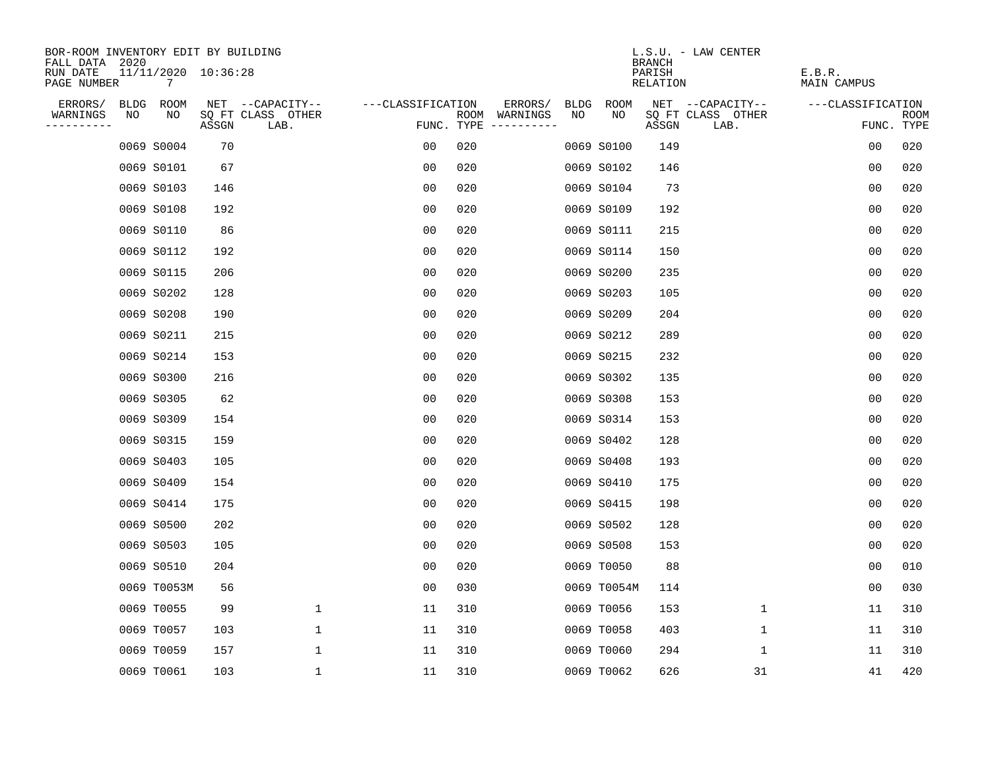| BOR-ROOM INVENTORY EDIT BY BUILDING       |    |                          |       |                           |                   |     |                                      |             |             | <b>BRANCH</b>             | L.S.U. - LAW CENTER       |                              |                           |
|-------------------------------------------|----|--------------------------|-------|---------------------------|-------------------|-----|--------------------------------------|-------------|-------------|---------------------------|---------------------------|------------------------------|---------------------------|
| FALL DATA 2020<br>RUN DATE<br>PAGE NUMBER |    | 11/11/2020 10:36:28<br>7 |       |                           |                   |     |                                      |             |             | PARISH<br><b>RELATION</b> |                           | E.B.R.<br><b>MAIN CAMPUS</b> |                           |
| ERRORS/                                   |    | BLDG ROOM                |       | NET --CAPACITY--          | ---CLASSIFICATION |     | ERRORS/                              | <b>BLDG</b> | <b>ROOM</b> |                           | NET --CAPACITY--          | ---CLASSIFICATION            |                           |
| WARNINGS<br>----------                    | NO | NO                       | ASSGN | SQ FT CLASS OTHER<br>LAB. |                   |     | ROOM WARNINGS<br>FUNC. TYPE $------$ | NO          | NO          | ASSGN                     | SQ FT CLASS OTHER<br>LAB. |                              | <b>ROOM</b><br>FUNC. TYPE |
|                                           |    | 0069 S0004               | 70    |                           | 00                | 020 |                                      |             | 0069 S0100  | 149                       |                           | 0 <sub>0</sub>               | 020                       |
|                                           |    | 0069 S0101               | 67    |                           | 0 <sub>0</sub>    | 020 |                                      |             | 0069 S0102  | 146                       |                           | 0 <sub>0</sub>               | 020                       |
|                                           |    | 0069 S0103               | 146   |                           | 0 <sub>0</sub>    | 020 |                                      |             | 0069 S0104  | 73                        |                           | 0 <sub>0</sub>               | 020                       |
|                                           |    | 0069 S0108               | 192   |                           | 0 <sub>0</sub>    | 020 |                                      |             | 0069 S0109  | 192                       |                           | 0 <sub>0</sub>               | 020                       |
|                                           |    | 0069 S0110               | 86    |                           | 0 <sub>0</sub>    | 020 |                                      |             | 0069 S0111  | 215                       |                           | 00                           | 020                       |
|                                           |    | 0069 S0112               | 192   |                           | 00                | 020 |                                      |             | 0069 S0114  | 150                       |                           | 0 <sub>0</sub>               | 020                       |
|                                           |    | 0069 S0115               | 206   |                           | 0 <sub>0</sub>    | 020 |                                      |             | 0069 S0200  | 235                       |                           | 0 <sub>0</sub>               | 020                       |
|                                           |    | 0069 S0202               | 128   |                           | 0 <sub>0</sub>    | 020 |                                      |             | 0069 S0203  | 105                       |                           | 0 <sub>0</sub>               | 020                       |
|                                           |    | 0069 S0208               | 190   |                           | 0 <sub>0</sub>    | 020 |                                      |             | 0069 S0209  | 204                       |                           | 0 <sub>0</sub>               | 020                       |
|                                           |    | 0069 S0211               | 215   |                           | 0 <sub>0</sub>    | 020 |                                      |             | 0069 S0212  | 289                       |                           | 0 <sub>0</sub>               | 020                       |
|                                           |    | 0069 S0214               | 153   |                           | 00                | 020 |                                      |             | 0069 S0215  | 232                       |                           | 0 <sub>0</sub>               | 020                       |
|                                           |    | 0069 S0300               | 216   |                           | 0 <sub>0</sub>    | 020 |                                      |             | 0069 S0302  | 135                       |                           | 0 <sub>0</sub>               | 020                       |
|                                           |    | 0069 S0305               | 62    |                           | 0 <sub>0</sub>    | 020 |                                      |             | 0069 S0308  | 153                       |                           | 0 <sub>0</sub>               | 020                       |
|                                           |    | 0069 S0309               | 154   |                           | 0 <sub>0</sub>    | 020 |                                      |             | 0069 S0314  | 153                       |                           | 0 <sub>0</sub>               | 020                       |
|                                           |    | 0069 S0315               | 159   |                           | 0 <sub>0</sub>    | 020 |                                      |             | 0069 S0402  | 128                       |                           | 0 <sub>0</sub>               | 020                       |
|                                           |    | 0069 S0403               | 105   |                           | 0 <sub>0</sub>    | 020 |                                      |             | 0069 S0408  | 193                       |                           | 0 <sub>0</sub>               | 020                       |
|                                           |    | 0069 S0409               | 154   |                           | 0 <sub>0</sub>    | 020 |                                      |             | 0069 S0410  | 175                       |                           | 0 <sub>0</sub>               | 020                       |
|                                           |    | 0069 S0414               | 175   |                           | 0 <sub>0</sub>    | 020 |                                      |             | 0069 S0415  | 198                       |                           | 0 <sub>0</sub>               | 020                       |
|                                           |    | 0069 S0500               | 202   |                           | 0 <sub>0</sub>    | 020 |                                      |             | 0069 S0502  | 128                       |                           | 0 <sub>0</sub>               | 020                       |
|                                           |    | 0069 S0503               | 105   |                           | 0 <sub>0</sub>    | 020 |                                      |             | 0069 S0508  | 153                       |                           | 0 <sub>0</sub>               | 020                       |
|                                           |    | 0069 S0510               | 204   |                           | 0 <sub>0</sub>    | 020 |                                      |             | 0069 T0050  | 88                        |                           | 0 <sub>0</sub>               | 010                       |
|                                           |    | 0069 T0053M              | 56    |                           | 0 <sub>0</sub>    | 030 |                                      |             | 0069 T0054M | 114                       |                           | 0 <sub>0</sub>               | 030                       |
|                                           |    | 0069 T0055               | 99    | $\mathbf 1$               | 11                | 310 |                                      |             | 0069 T0056  | 153                       | 1                         | 11                           | 310                       |
|                                           |    | 0069 T0057               | 103   | $\mathbf 1$               | 11                | 310 |                                      |             | 0069 T0058  | 403                       | $\mathbf 1$               | 11                           | 310                       |
|                                           |    | 0069 T0059               | 157   | $\mathbf{1}$              | 11                | 310 |                                      |             | 0069 T0060  | 294                       | 1                         | 11                           | 310                       |
|                                           |    | 0069 T0061               | 103   | $\mathbf{1}$              | 11                | 310 |                                      |             | 0069 T0062  | 626                       | 31                        | 41                           | 420                       |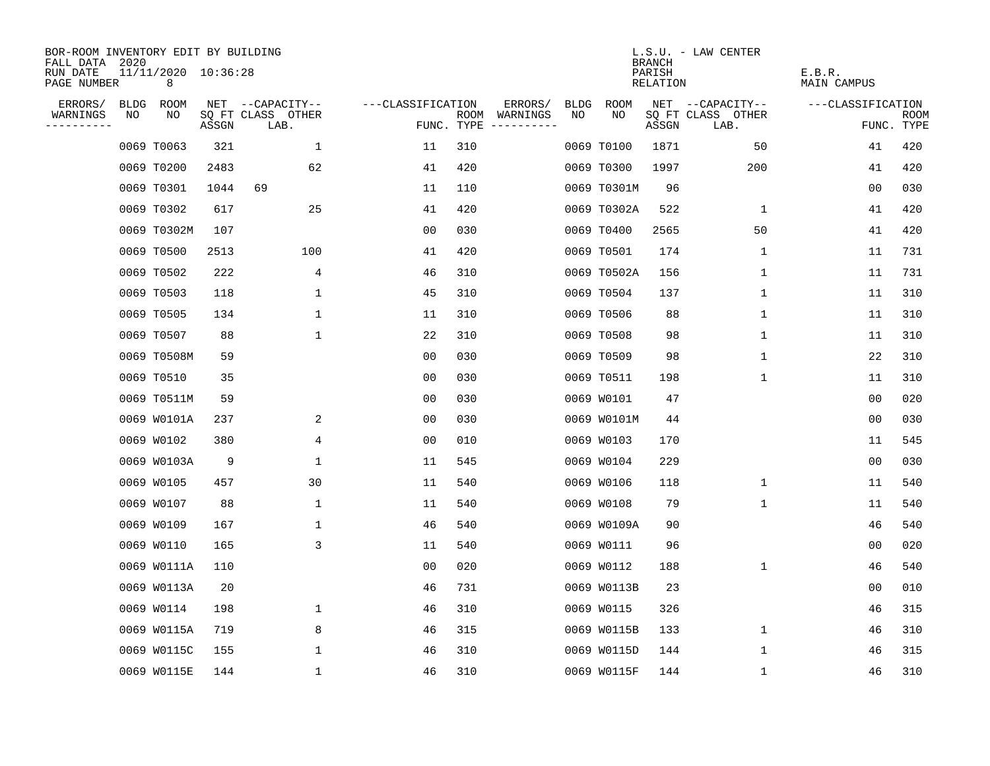| BOR-ROOM INVENTORY EDIT BY BUILDING<br>FALL DATA 2020 |      |                          |       |                           |                   |            |                              |             |             | <b>BRANCH</b>      | L.S.U. - LAW CENTER       |                       |                           |
|-------------------------------------------------------|------|--------------------------|-------|---------------------------|-------------------|------------|------------------------------|-------------|-------------|--------------------|---------------------------|-----------------------|---------------------------|
| RUN DATE<br>PAGE NUMBER                               |      | 11/11/2020 10:36:28<br>8 |       |                           |                   |            |                              |             |             | PARISH<br>RELATION |                           | E.B.R.<br>MAIN CAMPUS |                           |
| ERRORS/                                               | BLDG | ROOM                     |       | NET --CAPACITY--          | ---CLASSIFICATION |            | ERRORS/                      | <b>BLDG</b> | <b>ROOM</b> |                    | NET --CAPACITY--          | ---CLASSIFICATION     |                           |
| WARNINGS<br>- - - - - - - - - -                       | NO   | NO                       | ASSGN | SQ FT CLASS OTHER<br>LAB. |                   | FUNC. TYPE | ROOM WARNINGS<br>----------- | NO          | NO          | ASSGN              | SQ FT CLASS OTHER<br>LAB. |                       | <b>ROOM</b><br>FUNC. TYPE |
|                                                       |      | 0069 T0063               | 321   | 1                         | 11                | 310        |                              |             | 0069 T0100  | 1871               | 50                        | 41                    | 420                       |
|                                                       |      | 0069 T0200               | 2483  | 62                        | 41                | 420        |                              |             | 0069 T0300  | 1997               | 200                       | 41                    | 420                       |
|                                                       |      | 0069 T0301               | 1044  | 69                        | 11                | 110        |                              |             | 0069 T0301M | 96                 |                           | 0 <sub>0</sub>        | 030                       |
|                                                       |      | 0069 T0302               | 617   | 25                        | 41                | 420        |                              |             | 0069 T0302A | 522                | 1                         | 41                    | 420                       |
|                                                       |      | 0069 T0302M              | 107   |                           | 00                | 030        |                              |             | 0069 T0400  | 2565               | 50                        | 41                    | 420                       |
|                                                       |      | 0069 T0500               | 2513  | 100                       | 41                | 420        |                              |             | 0069 T0501  | 174                | 1                         | 11                    | 731                       |
|                                                       |      | 0069 T0502               | 222   | 4                         | 46                | 310        |                              |             | 0069 T0502A | 156                | 1                         | 11                    | 731                       |
|                                                       |      | 0069 T0503               | 118   | 1                         | 45                | 310        |                              |             | 0069 T0504  | 137                | 1                         | 11                    | 310                       |
|                                                       |      | 0069 T0505               | 134   | $\mathbf 1$               | 11                | 310        |                              |             | 0069 T0506  | 88                 | 1                         | 11                    | 310                       |
|                                                       |      | 0069 T0507               | 88    | $\mathbf 1$               | 22                | 310        |                              |             | 0069 T0508  | 98                 | 1                         | 11                    | 310                       |
|                                                       |      | 0069 T0508M              | 59    |                           | 0 <sub>0</sub>    | 030        |                              |             | 0069 T0509  | 98                 | $\mathbf 1$               | 22                    | 310                       |
|                                                       |      | 0069 T0510               | 35    |                           | 0 <sub>0</sub>    | 030        |                              |             | 0069 T0511  | 198                | $\mathbf 1$               | 11                    | 310                       |
|                                                       |      | 0069 T0511M              | 59    |                           | 0 <sub>0</sub>    | 030        |                              |             | 0069 W0101  | 47                 |                           | 0 <sub>0</sub>        | 020                       |
|                                                       |      | 0069 W0101A              | 237   | 2                         | 0 <sub>0</sub>    | 030        |                              |             | 0069 W0101M | 44                 |                           | 0 <sub>0</sub>        | 030                       |
|                                                       |      | 0069 W0102               | 380   | 4                         | 0 <sub>0</sub>    | 010        |                              |             | 0069 W0103  | 170                |                           | 11                    | 545                       |
|                                                       |      | 0069 W0103A              | 9     | 1                         | 11                | 545        |                              |             | 0069 W0104  | 229                |                           | 00                    | 030                       |
|                                                       |      | 0069 W0105               | 457   | 30                        | 11                | 540        |                              |             | 0069 W0106  | 118                | 1                         | 11                    | 540                       |
|                                                       |      | 0069 W0107               | 88    | 1                         | 11                | 540        |                              |             | 0069 W0108  | 79                 | 1                         | 11                    | 540                       |
|                                                       |      | 0069 W0109               | 167   | 1                         | 46                | 540        |                              |             | 0069 W0109A | 90                 |                           | 46                    | 540                       |
|                                                       |      | 0069 W0110               | 165   | 3                         | 11                | 540        |                              |             | 0069 W0111  | 96                 |                           | 00                    | 020                       |
|                                                       |      | 0069 W0111A              | 110   |                           | 0 <sub>0</sub>    | 020        |                              |             | 0069 W0112  | 188                | 1                         | 46                    | 540                       |
|                                                       |      | 0069 W0113A              | 20    |                           | 46                | 731        |                              |             | 0069 W0113B | 23                 |                           | 0 <sub>0</sub>        | 010                       |
|                                                       |      | 0069 W0114               | 198   | 1                         | 46                | 310        |                              |             | 0069 W0115  | 326                |                           | 46                    | 315                       |
|                                                       |      | 0069 W0115A              | 719   | 8                         | 46                | 315        |                              |             | 0069 W0115B | 133                | 1                         | 46                    | 310                       |
|                                                       |      | 0069 W0115C              | 155   | $\mathbf{1}$              | 46                | 310        |                              |             | 0069 W0115D | 144                | 1                         | 46                    | 315                       |
|                                                       |      | 0069 W0115E              | 144   | $\mathbf{1}$              | 46                | 310        |                              |             | 0069 W0115F | 144                | 1                         | 46                    | 310                       |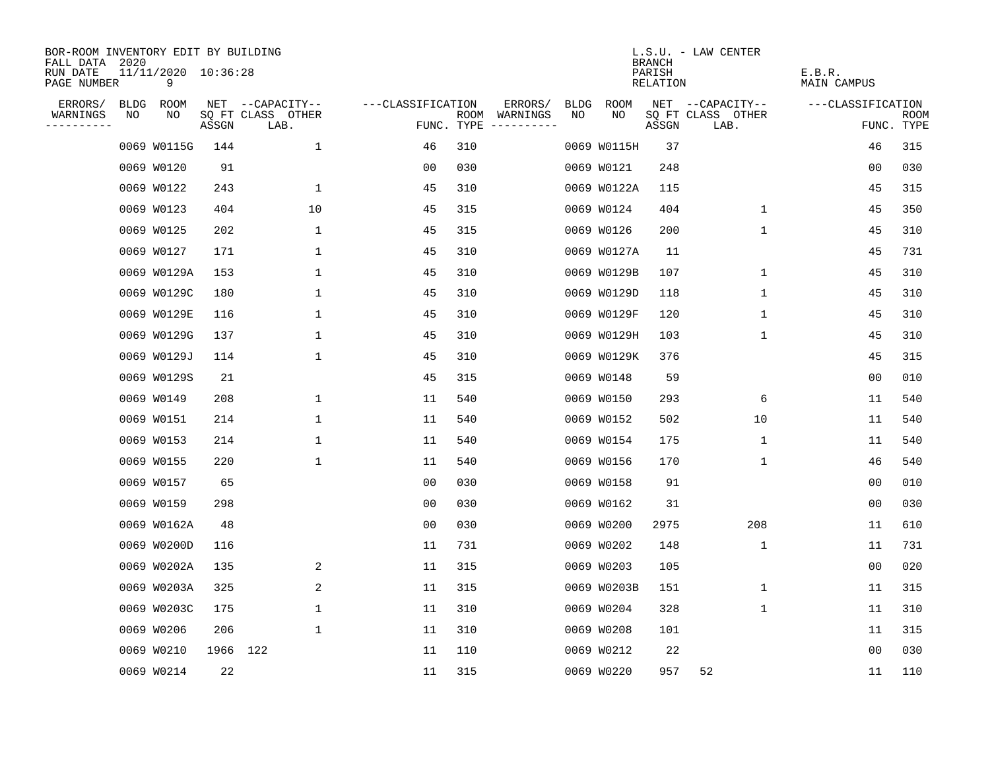| BOR-ROOM INVENTORY EDIT BY BUILDING<br>FALL DATA | 2020 |                          |          |                           |                   |      |                                 |             |             | <b>BRANCH</b>      | L.S.U. - LAW CENTER       |                       |                           |
|--------------------------------------------------|------|--------------------------|----------|---------------------------|-------------------|------|---------------------------------|-------------|-------------|--------------------|---------------------------|-----------------------|---------------------------|
| RUN DATE<br>PAGE NUMBER                          |      | 11/11/2020 10:36:28<br>9 |          |                           |                   |      |                                 |             |             | PARISH<br>RELATION |                           | E.B.R.<br>MAIN CAMPUS |                           |
| ERRORS/                                          |      | BLDG ROOM                |          | NET --CAPACITY--          | ---CLASSIFICATION |      | ERRORS/                         | <b>BLDG</b> | <b>ROOM</b> |                    | NET --CAPACITY--          | ---CLASSIFICATION     |                           |
| WARNINGS<br>----------                           | NO   | NO                       | ASSGN    | SQ FT CLASS OTHER<br>LAB. |                   | ROOM | WARNINGS<br>FUNC. TYPE $------$ | NO          | NO          | ASSGN              | SQ FT CLASS OTHER<br>LAB. |                       | <b>ROOM</b><br>FUNC. TYPE |
|                                                  |      | 0069 W0115G              | 144      | $\mathbf 1$               | 46                | 310  |                                 |             | 0069 W0115H | 37                 |                           | 46                    | 315                       |
|                                                  |      | 0069 W0120               | 91       |                           | 00                | 030  |                                 |             | 0069 W0121  | 248                |                           | 00                    | 030                       |
|                                                  |      | 0069 W0122               | 243      | $\mathbf{1}$              | 45                | 310  |                                 |             | 0069 W0122A | 115                |                           | 45                    | 315                       |
|                                                  |      | 0069 W0123               | 404      | 10                        | 45                | 315  |                                 |             | 0069 W0124  | 404                | 1                         | 45                    | 350                       |
|                                                  |      | 0069 W0125               | 202      | 1                         | 45                | 315  |                                 |             | 0069 W0126  | 200                | 1                         | 45                    | 310                       |
|                                                  |      | 0069 W0127               | 171      | 1                         | 45                | 310  |                                 |             | 0069 W0127A | 11                 |                           | 45                    | 731                       |
|                                                  |      | 0069 W0129A              | 153      | $\mathbf 1$               | 45                | 310  |                                 |             | 0069 W0129B | 107                | 1                         | 45                    | 310                       |
|                                                  |      | 0069 W0129C              | 180      | $\mathbf 1$               | 45                | 310  |                                 |             | 0069 W0129D | 118                | $\mathbf 1$               | 45                    | 310                       |
|                                                  |      | 0069 W0129E              | 116      | $\mathbf{1}$              | 45                | 310  |                                 |             | 0069 W0129F | 120                | $\mathbf 1$               | 45                    | 310                       |
|                                                  |      | 0069 W0129G              | 137      | 1                         | 45                | 310  |                                 |             | 0069 W0129H | 103                | 1                         | 45                    | 310                       |
|                                                  |      | 0069 W0129J              | 114      | $\mathbf 1$               | 45                | 310  |                                 |             | 0069 W0129K | 376                |                           | 45                    | 315                       |
|                                                  |      | 0069 W0129S              | 21       |                           | 45                | 315  |                                 |             | 0069 W0148  | 59                 |                           | 0 <sub>0</sub>        | 010                       |
|                                                  |      | 0069 W0149               | 208      | 1                         | 11                | 540  |                                 |             | 0069 W0150  | 293                | 6                         | 11                    | 540                       |
|                                                  |      | 0069 W0151               | 214      | $\mathbf 1$               | 11                | 540  |                                 |             | 0069 W0152  | 502                | 10                        | 11                    | 540                       |
|                                                  |      | 0069 W0153               | 214      | 1                         | 11                | 540  |                                 |             | 0069 W0154  | 175                | 1                         | 11                    | 540                       |
|                                                  |      | 0069 W0155               | 220      | 1                         | 11                | 540  |                                 |             | 0069 W0156  | 170                | 1                         | 46                    | 540                       |
|                                                  |      | 0069 W0157               | 65       |                           | 00                | 030  |                                 |             | 0069 W0158  | 91                 |                           | 0 <sub>0</sub>        | 010                       |
|                                                  |      | 0069 W0159               | 298      |                           | 0 <sub>0</sub>    | 030  |                                 |             | 0069 W0162  | 31                 |                           | 0 <sub>0</sub>        | 030                       |
|                                                  |      | 0069 W0162A              | 48       |                           | 0 <sub>0</sub>    | 030  |                                 |             | 0069 W0200  | 2975               | 208                       | 11                    | 610                       |
|                                                  |      | 0069 W0200D              | 116      |                           | 11                | 731  |                                 |             | 0069 W0202  | 148                | $\mathbf{1}$              | 11                    | 731                       |
|                                                  |      | 0069 W0202A              | 135      | 2                         | 11                | 315  |                                 |             | 0069 W0203  | 105                |                           | 0 <sub>0</sub>        | 020                       |
|                                                  |      | 0069 W0203A              | 325      | 2                         | 11                | 315  |                                 |             | 0069 W0203B | 151                | 1                         | 11                    | 315                       |
|                                                  |      | 0069 W0203C              | 175      | $\mathbf 1$               | 11                | 310  |                                 |             | 0069 W0204  | 328                | 1                         | 11                    | 310                       |
|                                                  |      | 0069 W0206               | 206      | $\mathbf 1$               | 11                | 310  |                                 |             | 0069 W0208  | 101                |                           | 11                    | 315                       |
|                                                  |      | 0069 W0210               | 1966 122 |                           | 11                | 110  |                                 |             | 0069 W0212  | 22                 |                           | 0 <sub>0</sub>        | 030                       |
|                                                  |      | 0069 W0214               | 22       |                           | 11                | 315  |                                 |             | 0069 W0220  | 957                | 52                        | 11                    | 110                       |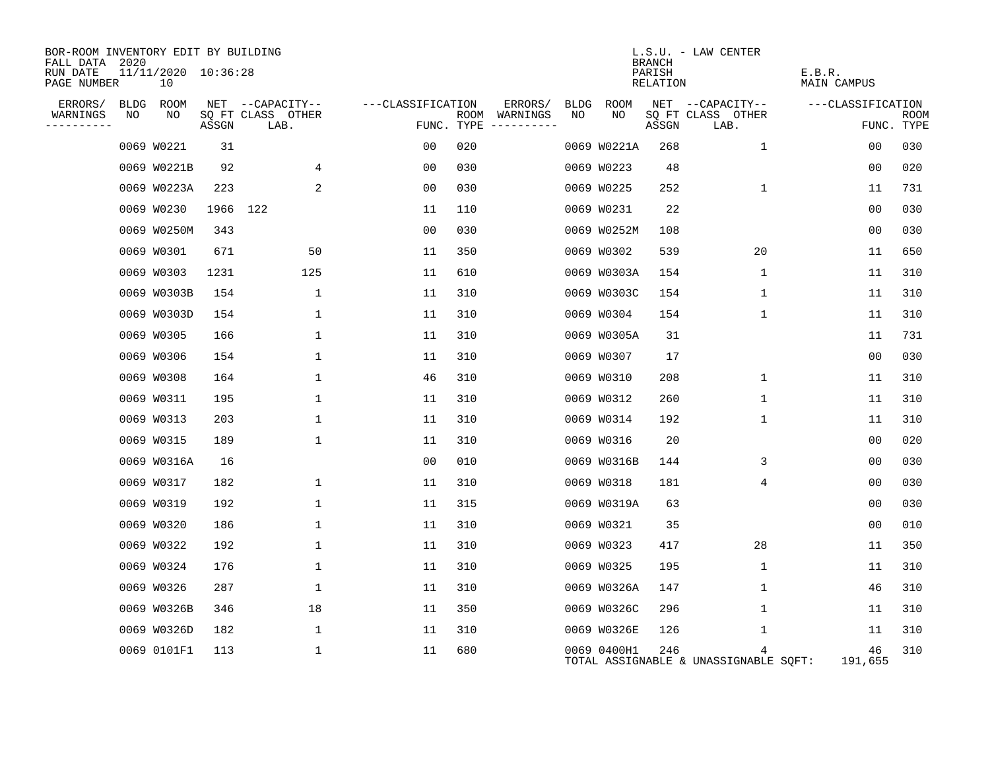| BOR-ROOM INVENTORY EDIT BY BUILDING<br>FALL DATA 2020 |      |                           |          |                           |              |                   |      |                                 |      |             | <b>BRANCH</b>      | $L.S.U. - LAW CENTER$                      |                       |                           |
|-------------------------------------------------------|------|---------------------------|----------|---------------------------|--------------|-------------------|------|---------------------------------|------|-------------|--------------------|--------------------------------------------|-----------------------|---------------------------|
| RUN DATE<br>PAGE NUMBER                               |      | 11/11/2020 10:36:28<br>10 |          |                           |              |                   |      |                                 |      |             | PARISH<br>RELATION |                                            | E.B.R.<br>MAIN CAMPUS |                           |
| ERRORS/                                               | BLDG | ROOM                      |          | NET --CAPACITY--          |              | ---CLASSIFICATION |      | ERRORS/                         | BLDG | ROOM        |                    | NET --CAPACITY--                           | ---CLASSIFICATION     |                           |
| WARNINGS<br>----------                                | NO   | NO.                       | ASSGN    | SQ FT CLASS OTHER<br>LAB. |              |                   | ROOM | WARNINGS<br>FUNC. TYPE $------$ | NO.  | NO.         | ASSGN              | SQ FT CLASS OTHER<br>LAB.                  |                       | <b>ROOM</b><br>FUNC. TYPE |
|                                                       |      | 0069 W0221                | 31       |                           |              | 00                | 020  |                                 |      | 0069 W0221A | 268                | $\mathbf 1$                                | 00                    | 030                       |
|                                                       |      | 0069 W0221B               | 92       |                           | 4            | 00                | 030  |                                 |      | 0069 W0223  | 48                 |                                            | 00                    | 020                       |
|                                                       |      | 0069 W0223A               | 223      |                           | 2            | 0 <sub>0</sub>    | 030  |                                 |      | 0069 W0225  | 252                | $\mathbf 1$                                | 11                    | 731                       |
|                                                       |      | 0069 W0230                | 1966 122 |                           |              | 11                | 110  |                                 |      | 0069 W0231  | 22                 |                                            | 00                    | 030                       |
|                                                       |      | 0069 W0250M               | 343      |                           |              | 0 <sub>0</sub>    | 030  |                                 |      | 0069 W0252M | 108                |                                            | 0 <sub>0</sub>        | 030                       |
|                                                       |      | 0069 W0301                | 671      |                           | 50           | 11                | 350  |                                 |      | 0069 W0302  | 539                | 20                                         | 11                    | 650                       |
|                                                       |      | 0069 W0303                | 1231     |                           | 125          | 11                | 610  |                                 |      | 0069 W0303A | 154                | 1                                          | 11                    | 310                       |
|                                                       |      | 0069 W0303B               | 154      |                           | 1            | 11                | 310  |                                 |      | 0069 W0303C | 154                | 1                                          | 11                    | 310                       |
|                                                       |      | 0069 W0303D               | 154      |                           | 1            | 11                | 310  |                                 |      | 0069 W0304  | 154                | 1                                          | 11                    | 310                       |
|                                                       |      | 0069 W0305                | 166      |                           | 1            | 11                | 310  |                                 |      | 0069 W0305A | 31                 |                                            | 11                    | 731                       |
|                                                       |      | 0069 W0306                | 154      |                           | 1            | 11                | 310  |                                 |      | 0069 W0307  | 17                 |                                            | 0 <sub>0</sub>        | 030                       |
|                                                       |      | 0069 W0308                | 164      |                           | 1            | 46                | 310  |                                 |      | 0069 W0310  | 208                | 1                                          | 11                    | 310                       |
|                                                       |      | 0069 W0311                | 195      |                           | 1            | 11                | 310  |                                 |      | 0069 W0312  | 260                | 1                                          | 11                    | 310                       |
|                                                       |      | 0069 W0313                | 203      |                           | 1            | 11                | 310  |                                 |      | 0069 W0314  | 192                | 1                                          | 11                    | 310                       |
|                                                       |      | 0069 W0315                | 189      |                           | 1            | 11                | 310  |                                 |      | 0069 W0316  | 20                 |                                            | 0 <sub>0</sub>        | 020                       |
|                                                       |      | 0069 W0316A               | 16       |                           |              | 00                | 010  |                                 |      | 0069 W0316B | 144                | 3                                          | 00                    | 030                       |
|                                                       |      | 0069 W0317                | 182      |                           | 1            | 11                | 310  |                                 |      | 0069 W0318  | 181                | 4                                          | 0 <sub>0</sub>        | 030                       |
|                                                       |      | 0069 W0319                | 192      |                           | $\mathbf{1}$ | 11                | 315  |                                 |      | 0069 W0319A | 63                 |                                            | 0 <sub>0</sub>        | 030                       |
|                                                       |      | 0069 W0320                | 186      |                           | 1            | 11                | 310  |                                 |      | 0069 W0321  | 35                 |                                            | 00                    | 010                       |
|                                                       |      | 0069 W0322                | 192      |                           | 1            | 11                | 310  |                                 |      | 0069 W0323  | 417                | 28                                         | 11                    | 350                       |
|                                                       |      | 0069 W0324                | 176      |                           | 1            | 11                | 310  |                                 |      | 0069 W0325  | 195                | $\mathbf{1}$                               | 11                    | 310                       |
|                                                       |      | 0069 W0326                | 287      |                           | 1            | 11                | 310  |                                 |      | 0069 W0326A | 147                | 1                                          | 46                    | 310                       |
|                                                       |      | 0069 W0326B               | 346      |                           | 18           | 11                | 350  |                                 |      | 0069 W0326C | 296                | 1                                          | 11                    | 310                       |
|                                                       |      | 0069 W0326D               | 182      |                           | 1            | 11                | 310  |                                 |      | 0069 W0326E | 126                | 1                                          | 11                    | 310                       |
|                                                       |      | 0069 0101F1               | 113      |                           | $\mathbf 1$  | 11                | 680  |                                 |      | 0069 0400H1 | 246                | 4<br>TOTAL ASSIGNABLE & UNASSIGNABLE SQFT: | 46<br>191,655         | 310                       |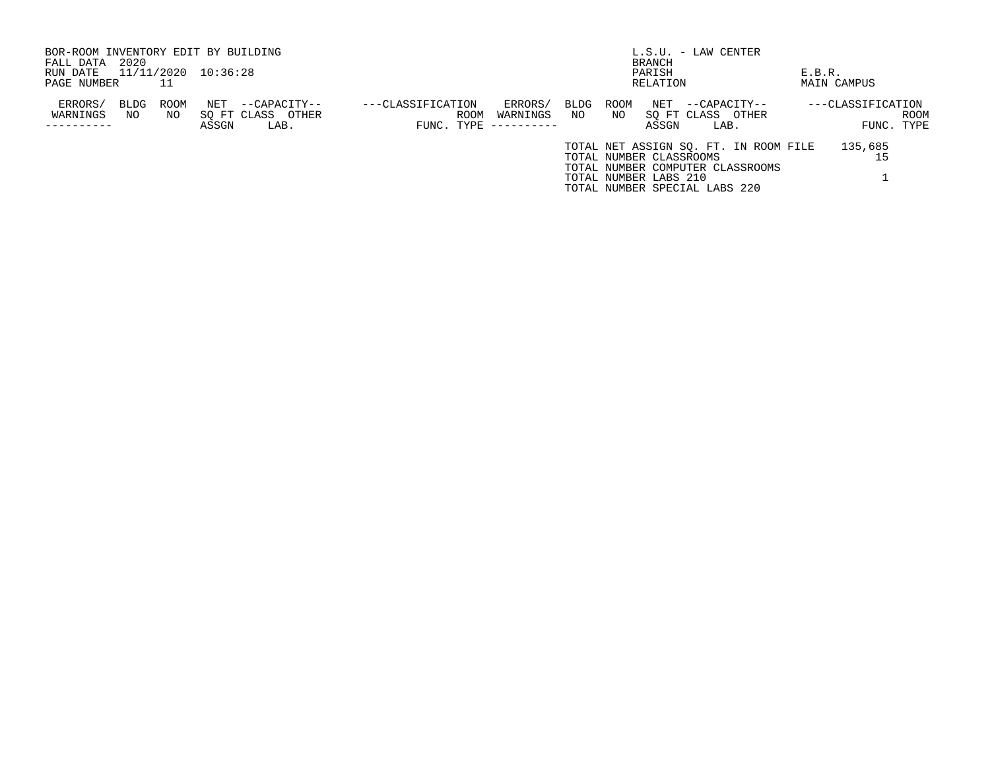| BOR-ROOM INVENTORY EDIT BY BUILDING |                     |       |                   |                   |             |      |      |                         | $L.S.U. - LAW CENTER$                 |        |                   |            |
|-------------------------------------|---------------------|-------|-------------------|-------------------|-------------|------|------|-------------------------|---------------------------------------|--------|-------------------|------------|
| 2020<br>FALL DATA                   |                     |       |                   |                   |             |      |      | <b>BRANCH</b>           |                                       |        |                   |            |
| RUN DATE                            | 11/11/2020 10:36:28 |       |                   |                   |             |      |      | PARISH                  |                                       | E.B.R. |                   |            |
| PAGE NUMBER                         | 11                  |       |                   |                   |             |      |      | RELATION                |                                       |        | MAIN CAMPUS       |            |
| ERRORS/                             | ROOM<br>BLDG        | NET   | --CAPACITY--      | ---CLASSIFICATION | ERRORS/     | BLDG | ROOM | NET                     | --CAPACITY--                          |        | ---CLASSIFICATION |            |
| WARNINGS                            | NO<br>NO.           |       | SO FT CLASS OTHER | ROOM              | WARNINGS    | NO   | NO.  |                         | SO FT CLASS OTHER                     |        |                   | ROOM       |
|                                     |                     | ASSGN | LAB.              | FUNC. TYPE        | ----------- |      |      | ASSGN                   | LAB.                                  |        |                   | FUNC. TYPE |
|                                     |                     |       |                   |                   |             |      |      |                         | TOTAL NET ASSIGN SO. FT. IN ROOM FILE |        | 135,685           |            |
|                                     |                     |       |                   |                   |             |      |      | TOTAL NUMBER CLASSROOMS |                                       |        |                   |            |
|                                     |                     |       |                   |                   |             |      |      |                         | TOTAL NUMBER COMPUTER CLASSROOMS      |        |                   |            |
|                                     |                     |       |                   |                   |             |      |      | TOTAL NUMBER LABS 210   |                                       |        |                   |            |
|                                     |                     |       |                   |                   |             |      |      |                         | TOTAL NUMBER SPECIAL LABS 220         |        |                   |            |